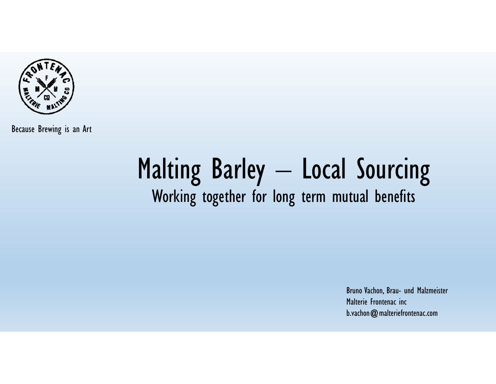

# Malting Barley – Local Sourcing Working together for long term mutual benefits

Bruno Vachon, Brau- und Malzmeister Malterie Frontenac incb.vachon@malteriefrontenac.com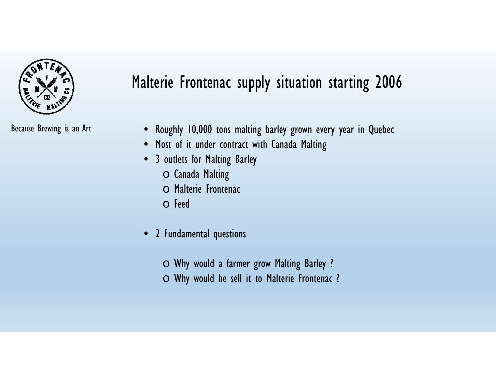

## Malterie Frontenac supply situation starting 2006

- Because Brewing is an Art Roughly 10,000 tons malting barley grown every year in Quebec
	- Most of it under contract with Canada Malting
	- 3 outlets for Malting Barley
		- o Canada Malting
		- o Malterie Frontenac
		- o Feed
	- $\bullet$  2 Fundamental questions
		- $\circ$  Why would a farmer grow Malting Barley ?
		- $\circlearrowright$  Why would he sell it to Malterie Frontenac ?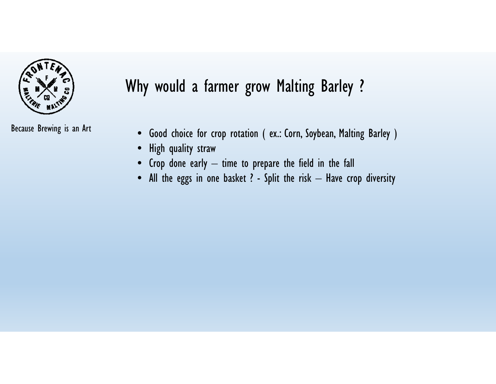

Because Brewing is an Art

#### Why would a farmer grow Malting Barley ?

- Good choice for crop rotation ( ex.: Corn, Soybean, Malting Barley )
- $\bullet$ High quality straw
- $\bullet$  Crop done early time to prepare the field in the fall
- $\bullet$  All the eggs in one basket ? Split the risk Have crop diversity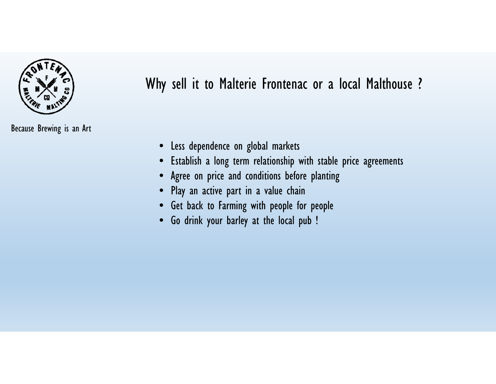

Why sell it to Malterie Frontenac or a local Malthouse ?

- •Less dependence on global markets
- •Establish a long term relationship with stable price agreements
- •Agree on price and conditions before planting
- Play an active part in a value chain
- Get back to Farming with people for people
- •Go drink your barley at the local pub !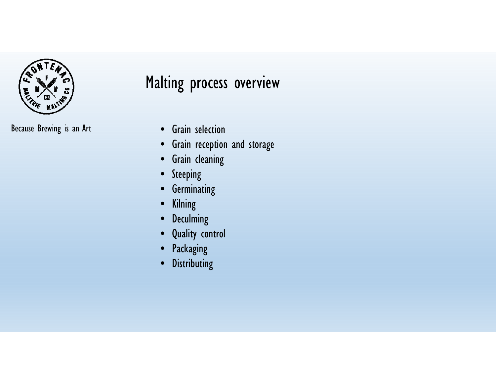

Because Brewing is an Art • Grain selection

#### Malting process overview

- 
- $\bullet$ Grain reception and storage
- Grain cleaning
- Steeping
- Germinating
- Kilning
- $\bullet$ Deculming
- Quality control
- $\bullet$ Packaging
- Distributing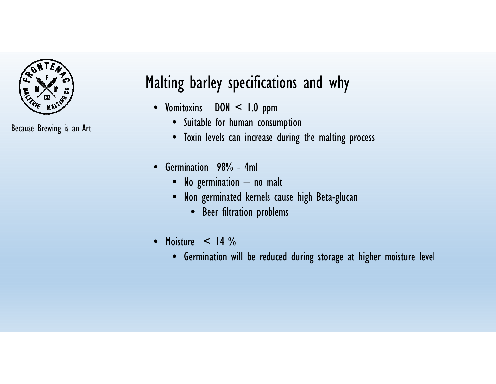

Because Brewing is an Art

## Malting barley specifications and why

- Vomitoxins DON < 1.0 ppm
	- Suitable for human consumption
	- Toxin levels can increase during the malting process
- Germination 98% 4ml
	- No germination no malt
	- Non germinated kernels cause high Beta-glucan
		- Beer filtration problems
- $\bullet$  Moisture  $<$  14  $\%$ 
	- Germination will be reduced during storage at higher moisture level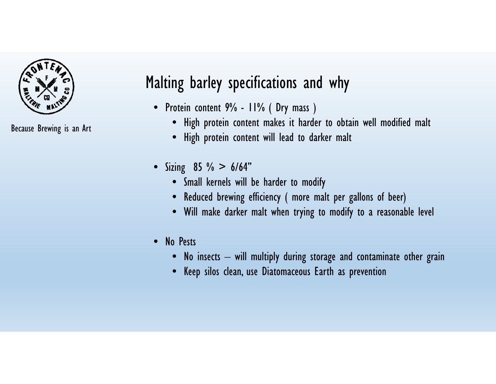

Because Brewing is an Art

## Malting barley specifications and why

- Protein content 9% 11% ( Dry mass )
	- High protein content makes it harder to obtain well modified malt
	- High protein content will lead to darker malt
- Sizing 85 % > 6/64"
	- Small kernels will be harder to modify
	- Reduced brewing efficiency ( more malt per gallons of beer)
	- Will make darker malt when trying to modify to a reasonable level
- No Pests
	- $\bullet$  No insects will multiply during storage and contaminate other grain
	- Keep silos clean, use Diatomaceous Earth as prevention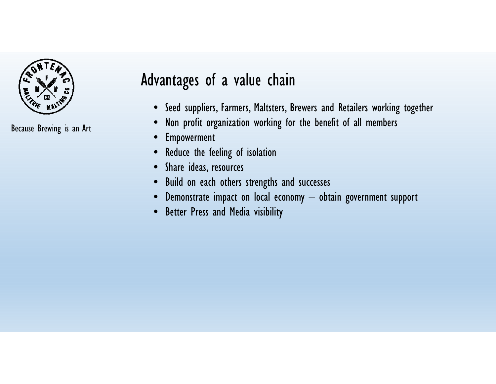

#### Advantages of a value chain

- Seed suppliers, Farmers, Maltsters, Brewers and Retailers working together
- $\bullet$ Non profit organization working for the benefit of all members
- $\bullet$ Empowerment
- Reduce the feeling of isolation
- Share ideas, resources
- Build on each others strengths and successes
- $\bullet$  Demonstrate impact on local economy obtain government support
- Better Press and Media visibility